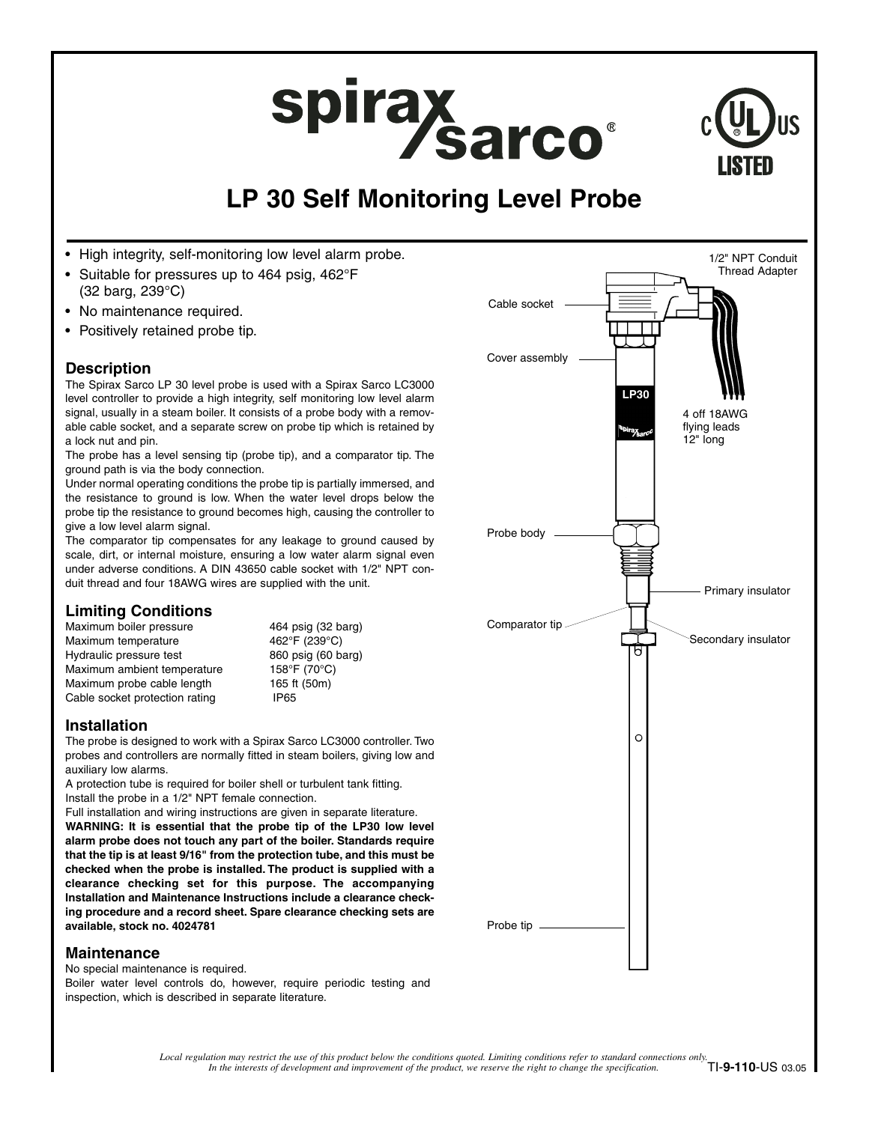# spirax<br>Sarco®



# **LP 30 Self Monitoring Level Probe**

- High integrity, self-monitoring low level alarm probe.
- Suitable for pressures up to 464 psig, 462°F (32 barg, 239°C)
- No maintenance required.
- Positively retained probe tip.

# **Description**

The Spirax Sarco LP 30 level probe is used with a Spirax Sarco LC3000 level controller to provide a high integrity, self monitoring low level alarm signal, usually in a steam boiler. It consists of a probe body with a removable cable socket, and a separate screw on probe tip which is retained by a lock nut and pin.

The probe has a level sensing tip (probe tip), and a comparator tip. The ground path is via the body connection.

Under normal operating conditions the probe tip is partially immersed, and the resistance to ground is low. When the water level drops below the probe tip the resistance to ground becomes high, causing the controller to give a low level alarm signal.

The comparator tip compensates for any leakage to ground caused by scale, dirt, or internal moisture, ensuring a low water alarm signal even under adverse conditions. A DIN 43650 cable socket with 1/2" NPT conduit thread and four 18AWG wires are supplied with the unit.

# **Limiting Conditions**

Maximum boiler pressure 464 psig (32 barg)<br>Maximum temperature 462°F (239°C) Maximum temperature Hydraulic pressure test 860 psig (60 barg) Maximum ambient temperature 158°F (70°C) Maximum probe cable length 165 ft (50m) Cable socket protection rating **IP65** 

# **Installation**

The probe is designed to work with a Spirax Sarco LC3000 controller. Two probes and controllers are normally fitted in steam boilers, giving low and auxiliary low alarms.

A protection tube is required for boiler shell or turbulent tank fitting. Install the probe in a 1/2" NPT female connection.

Full installation and wiring instructions are given in separate literature. **WARNING: It is essential that the probe tip of the LP30 low level alarm probe does not touch any part of the boiler. Standards require that the tip is at least 9/16" from the protection tube, and this must be checked when the probe is installed. The product is supplied with a clearance checking set for this purpose. The accompanying Installation and Maintenance Instructions include a clearance checking procedure and a record sheet. Spare clearance checking sets are available, stock no. 4024781**

# **Maintenance**

No special maintenance is required. Boiler water level controls do, however, require periodic testing and inspection, which is described in separate literature.